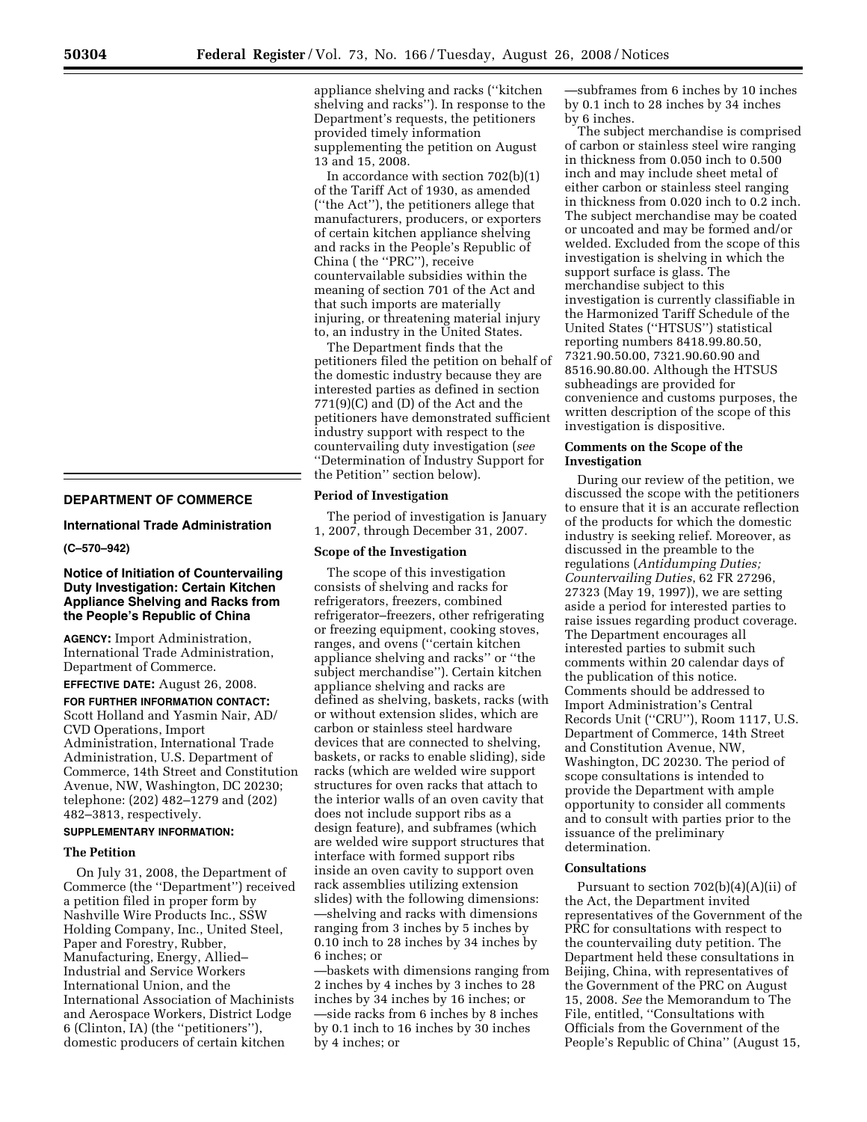## **DEPARTMENT OF COMMERCE**

**International Trade Administration** 

**(C–570–942)** 

# **Notice of Initiation of Countervailing Duty Investigation: Certain Kitchen Appliance Shelving and Racks from the People's Republic of China**

**AGENCY:** Import Administration, International Trade Administration, Department of Commerce.

**EFFECTIVE DATE:** August 26, 2008.

**FOR FURTHER INFORMATION CONTACT:**  Scott Holland and Yasmin Nair, AD/ CVD Operations, Import Administration, International Trade Administration, U.S. Department of Commerce, 14th Street and Constitution Avenue, NW, Washington, DC 20230; telephone: (202) 482–1279 and (202) 482–3813, respectively.

# **SUPPLEMENTARY INFORMATION:**

# **The Petition**

On July 31, 2008, the Department of Commerce (the ''Department'') received a petition filed in proper form by Nashville Wire Products Inc., SSW Holding Company, Inc., United Steel, Paper and Forestry, Rubber, Manufacturing, Energy, Allied– Industrial and Service Workers International Union, and the International Association of Machinists and Aerospace Workers, District Lodge 6 (Clinton, IA) (the ''petitioners''), domestic producers of certain kitchen

appliance shelving and racks (''kitchen shelving and racks''). In response to the Department's requests, the petitioners provided timely information supplementing the petition on August 13 and 15, 2008.

In accordance with section 702(b)(1) of the Tariff Act of 1930, as amended (''the Act''), the petitioners allege that manufacturers, producers, or exporters of certain kitchen appliance shelving and racks in the People's Republic of China ( the ''PRC''), receive countervailable subsidies within the meaning of section 701 of the Act and that such imports are materially injuring, or threatening material injury to, an industry in the United States.

The Department finds that the petitioners filed the petition on behalf of the domestic industry because they are interested parties as defined in section 771(9)(C) and (D) of the Act and the petitioners have demonstrated sufficient industry support with respect to the countervailing duty investigation (*see*  ''Determination of Industry Support for the Petition'' section below).

## **Period of Investigation**

The period of investigation is January 1, 2007, through December 31, 2007.

### **Scope of the Investigation**

The scope of this investigation consists of shelving and racks for refrigerators, freezers, combined refrigerator–freezers, other refrigerating or freezing equipment, cooking stoves, ranges, and ovens (''certain kitchen appliance shelving and racks'' or ''the subject merchandise''). Certain kitchen appliance shelving and racks are defined as shelving, baskets, racks (with or without extension slides, which are carbon or stainless steel hardware devices that are connected to shelving, baskets, or racks to enable sliding), side racks (which are welded wire support structures for oven racks that attach to the interior walls of an oven cavity that does not include support ribs as a design feature), and subframes (which are welded wire support structures that interface with formed support ribs inside an oven cavity to support oven rack assemblies utilizing extension slides) with the following dimensions: —shelving and racks with dimensions ranging from 3 inches by 5 inches by 0.10 inch to 28 inches by 34 inches by 6 inches; or

—baskets with dimensions ranging from 2 inches by 4 inches by 3 inches to 28 inches by 34 inches by 16 inches; or —side racks from 6 inches by 8 inches by 0.1 inch to 16 inches by 30 inches by 4 inches; or

—subframes from 6 inches by 10 inches by 0.1 inch to 28 inches by 34 inches by 6 inches.

The subject merchandise is comprised of carbon or stainless steel wire ranging in thickness from 0.050 inch to 0.500 inch and may include sheet metal of either carbon or stainless steel ranging in thickness from 0.020 inch to 0.2 inch. The subject merchandise may be coated or uncoated and may be formed and/or welded. Excluded from the scope of this investigation is shelving in which the support surface is glass. The merchandise subject to this investigation is currently classifiable in the Harmonized Tariff Schedule of the United States (''HTSUS'') statistical reporting numbers 8418.99.80.50, 7321.90.50.00, 7321.90.60.90 and 8516.90.80.00. Although the HTSUS subheadings are provided for convenience and customs purposes, the written description of the scope of this investigation is dispositive.

### **Comments on the Scope of the Investigation**

During our review of the petition, we discussed the scope with the petitioners to ensure that it is an accurate reflection of the products for which the domestic industry is seeking relief. Moreover, as discussed in the preamble to the regulations (*Antidumping Duties; Countervailing Duties*, 62 FR 27296, 27323 (May 19, 1997)), we are setting aside a period for interested parties to raise issues regarding product coverage. The Department encourages all interested parties to submit such comments within 20 calendar days of the publication of this notice. Comments should be addressed to Import Administration's Central Records Unit (''CRU''), Room 1117, U.S. Department of Commerce, 14th Street and Constitution Avenue, NW, Washington, DC 20230. The period of scope consultations is intended to provide the Department with ample opportunity to consider all comments and to consult with parties prior to the issuance of the preliminary determination.

### **Consultations**

Pursuant to section 702(b)(4)(A)(ii) of the Act, the Department invited representatives of the Government of the PRC for consultations with respect to the countervailing duty petition. The Department held these consultations in Beijing, China, with representatives of the Government of the PRC on August 15, 2008. *See* the Memorandum to The File, entitled, ''Consultations with Officials from the Government of the People's Republic of China'' (August 15,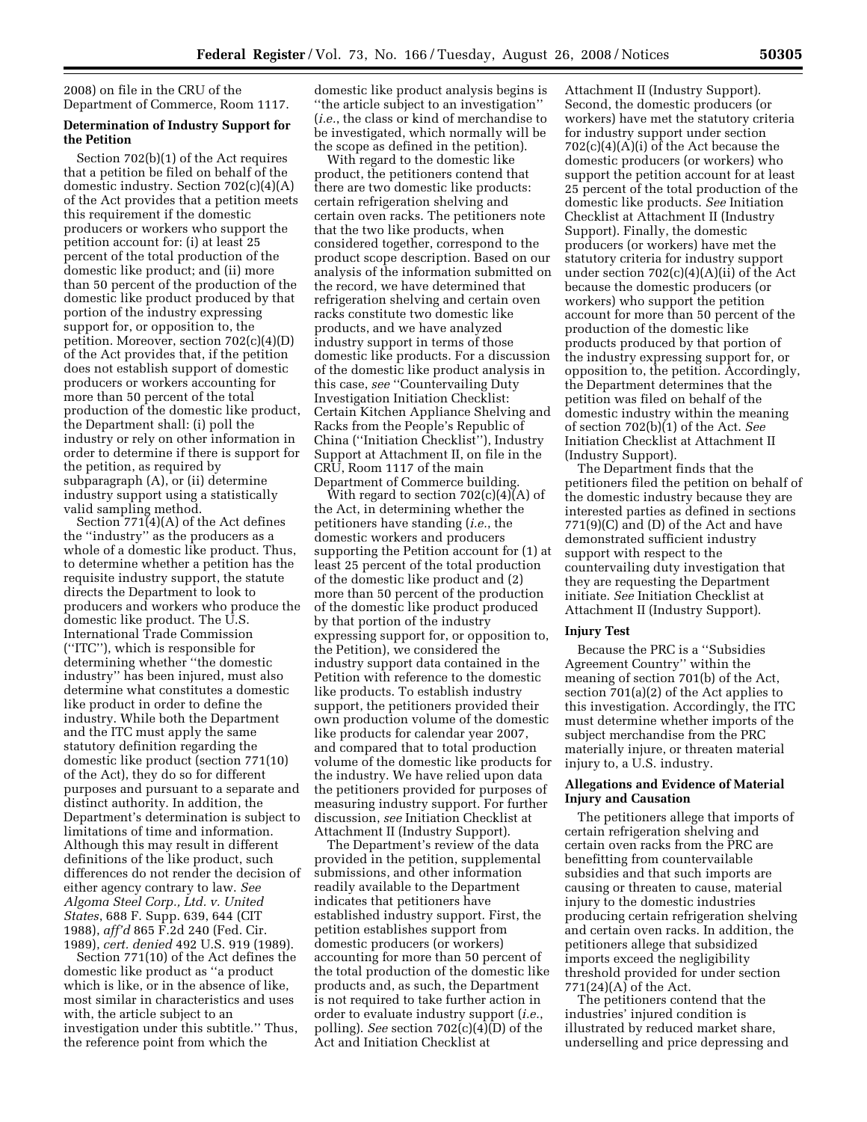2008) on file in the CRU of the Department of Commerce, Room 1117.

# **Determination of Industry Support for the Petition**

Section 702(b)(1) of the Act requires that a petition be filed on behalf of the domestic industry. Section 702(c)(4)(A) of the Act provides that a petition meets this requirement if the domestic producers or workers who support the petition account for: (i) at least 25 percent of the total production of the domestic like product; and (ii) more than 50 percent of the production of the domestic like product produced by that portion of the industry expressing support for, or opposition to, the petition. Moreover, section 702(c)(4)(D) of the Act provides that, if the petition does not establish support of domestic producers or workers accounting for more than 50 percent of the total production of the domestic like product, the Department shall: (i) poll the industry or rely on other information in order to determine if there is support for the petition, as required by subparagraph (A), or (ii) determine industry support using a statistically valid sampling method.

Section 771(4)(A) of the Act defines the ''industry'' as the producers as a whole of a domestic like product. Thus, to determine whether a petition has the requisite industry support, the statute directs the Department to look to producers and workers who produce the domestic like product. The U.S. International Trade Commission (''ITC''), which is responsible for determining whether ''the domestic industry'' has been injured, must also determine what constitutes a domestic like product in order to define the industry. While both the Department and the ITC must apply the same statutory definition regarding the domestic like product (section 771(10) of the Act), they do so for different purposes and pursuant to a separate and distinct authority. In addition, the Department's determination is subject to limitations of time and information. Although this may result in different definitions of the like product, such differences do not render the decision of either agency contrary to law. *See Algoma Steel Corp., Ltd. v. United States*, 688 F. Supp. 639, 644 (CIT 1988), *aff'd* 865 F.2d 240 (Fed. Cir. 1989), *cert. denied* 492 U.S. 919 (1989).

Section 771(10) of the Act defines the domestic like product as ''a product which is like, or in the absence of like, most similar in characteristics and uses with, the article subject to an investigation under this subtitle.'' Thus, the reference point from which the

domestic like product analysis begins is ''the article subject to an investigation'' (*i.e.*, the class or kind of merchandise to be investigated, which normally will be the scope as defined in the petition).

With regard to the domestic like product, the petitioners contend that there are two domestic like products: certain refrigeration shelving and certain oven racks. The petitioners note that the two like products, when considered together, correspond to the product scope description. Based on our analysis of the information submitted on the record, we have determined that refrigeration shelving and certain oven racks constitute two domestic like products, and we have analyzed industry support in terms of those domestic like products. For a discussion of the domestic like product analysis in this case, *see* ''Countervailing Duty Investigation Initiation Checklist: Certain Kitchen Appliance Shelving and Racks from the People's Republic of China (''Initiation Checklist''), Industry Support at Attachment II, on file in the CRU, Room 1117 of the main Department of Commerce building.

With regard to section  $702(c)(4)(A)$  of the Act, in determining whether the petitioners have standing (*i.e.*, the domestic workers and producers supporting the Petition account for (1) at least 25 percent of the total production of the domestic like product and (2) more than 50 percent of the production of the domestic like product produced by that portion of the industry expressing support for, or opposition to, the Petition), we considered the industry support data contained in the Petition with reference to the domestic like products. To establish industry support, the petitioners provided their own production volume of the domestic like products for calendar year 2007, and compared that to total production volume of the domestic like products for the industry. We have relied upon data the petitioners provided for purposes of measuring industry support. For further discussion, *see* Initiation Checklist at Attachment II (Industry Support).

The Department's review of the data provided in the petition, supplemental submissions, and other information readily available to the Department indicates that petitioners have established industry support. First, the petition establishes support from domestic producers (or workers) accounting for more than 50 percent of the total production of the domestic like products and, as such, the Department is not required to take further action in order to evaluate industry support (*i.e.*, polling). *See* section 702(c)(4)(D) of the Act and Initiation Checklist at

Attachment II (Industry Support). Second, the domestic producers (or workers) have met the statutory criteria for industry support under section  $702(c)(4)(A)(i)$  of the Act because the domestic producers (or workers) who support the petition account for at least 25 percent of the total production of the domestic like products. *See* Initiation Checklist at Attachment II (Industry Support). Finally, the domestic producers (or workers) have met the statutory criteria for industry support under section  $702(c)(4)(A)(ii)$  of the Act because the domestic producers (or workers) who support the petition account for more than 50 percent of the production of the domestic like products produced by that portion of the industry expressing support for, or opposition to, the petition. Accordingly, the Department determines that the petition was filed on behalf of the domestic industry within the meaning of section 702(b)(1) of the Act. *See*  Initiation Checklist at Attachment II (Industry Support).

The Department finds that the petitioners filed the petition on behalf of the domestic industry because they are interested parties as defined in sections 771(9)(C) and (D) of the Act and have demonstrated sufficient industry support with respect to the countervailing duty investigation that they are requesting the Department initiate. *See* Initiation Checklist at Attachment II (Industry Support).

### **Injury Test**

Because the PRC is a ''Subsidies Agreement Country'' within the meaning of section 701(b) of the Act, section 701(a)(2) of the Act applies to this investigation. Accordingly, the ITC must determine whether imports of the subject merchandise from the PRC materially injure, or threaten material injury to, a U.S. industry.

## **Allegations and Evidence of Material Injury and Causation**

The petitioners allege that imports of certain refrigeration shelving and certain oven racks from the PRC are benefitting from countervailable subsidies and that such imports are causing or threaten to cause, material injury to the domestic industries producing certain refrigeration shelving and certain oven racks. In addition, the petitioners allege that subsidized imports exceed the negligibility threshold provided for under section 771(24)(A) of the Act.

The petitioners contend that the industries' injured condition is illustrated by reduced market share, underselling and price depressing and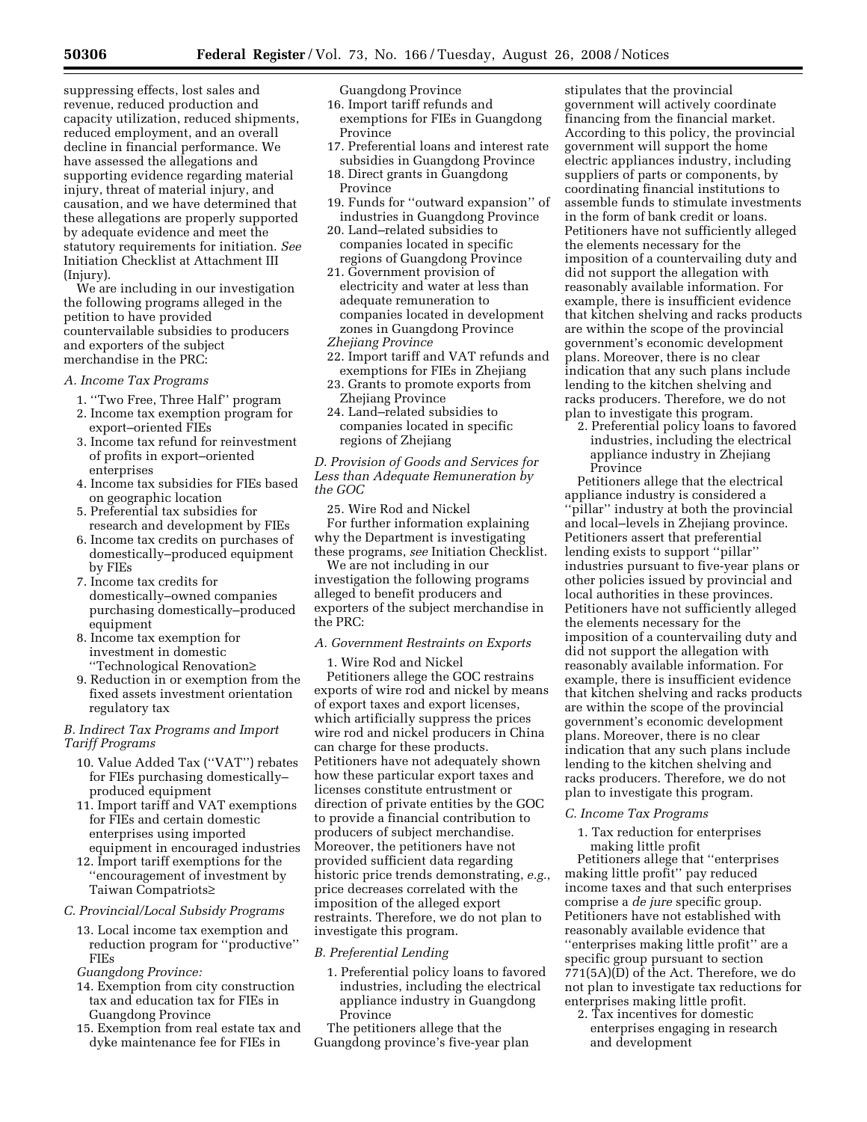suppressing effects, lost sales and revenue, reduced production and capacity utilization, reduced shipments, reduced employment, and an overall decline in financial performance. We have assessed the allegations and supporting evidence regarding material injury, threat of material injury, and causation, and we have determined that these allegations are properly supported by adequate evidence and meet the statutory requirements for initiation. *See*  Initiation Checklist at Attachment III (Injury).

We are including in our investigation the following programs alleged in the petition to have provided countervailable subsidies to producers and exporters of the subject merchandise in the PRC:

*A. Income Tax Programs* 

- 1. ''Two Free, Three Half'' program
- 2. Income tax exemption program for export–oriented FIEs
- 3. Income tax refund for reinvestment of profits in export–oriented enterprises
- 4. Income tax subsidies for FIEs based on geographic location
- 5. Preferential tax subsidies for research and development by FIEs
- 6. Income tax credits on purchases of domestically–produced equipment by FIEs
- 7. Income tax credits for domestically–owned companies purchasing domestically–produced equipment
- 8. Income tax exemption for investment in domestic ''Technological Renovation≥
- 9. Reduction in or exemption from the fixed assets investment orientation regulatory tax

# *B. Indirect Tax Programs and Import Tariff Programs*

- 10. Value Added Tax (''VAT'') rebates for FIEs purchasing domestically– produced equipment
- 11. Import tariff and VAT exemptions for FIEs and certain domestic enterprises using imported equipment in encouraged industries
- 12. Import tariff exemptions for the ''encouragement of investment by Taiwan Compatriots≥

## *C. Provincial/Local Subsidy Programs*

13. Local income tax exemption and reduction program for ''productive'' FIEs

*Guangdong Province:* 

- 14. Exemption from city construction tax and education tax for FIEs in Guangdong Province
- 15. Exemption from real estate tax and dyke maintenance fee for FIEs in

Guangdong Province

- 16. Import tariff refunds and exemptions for FIEs in Guangdong Province
- 17. Preferential loans and interest rate subsidies in Guangdong Province
- 18. Direct grants in Guangdong Province
- 19. Funds for ''outward expansion'' of industries in Guangdong Province
- 20. Land–related subsidies to companies located in specific regions of Guangdong Province
- 21. Government provision of electricity and water at less than adequate remuneration to companies located in development zones in Guangdong Province *Zhejiang Province*
- 22. Import tariff and VAT refunds and exemptions for FIEs in Zhejiang
- 23. Grants to promote exports from Zhejiang Province
- 24. Land–related subsidies to companies located in specific regions of Zhejiang

*D. Provision of Goods and Services for Less than Adequate Remuneration by the GOC* 

25. Wire Rod and Nickel For further information explaining why the Department is investigating these programs, *see* Initiation Checklist.

We are not including in our investigation the following programs alleged to benefit producers and exporters of the subject merchandise in the PRC:

# *A. Government Restraints on Exports*

1. Wire Rod and Nickel

Petitioners allege the GOC restrains exports of wire rod and nickel by means of export taxes and export licenses, which artificially suppress the prices wire rod and nickel producers in China can charge for these products. Petitioners have not adequately shown how these particular export taxes and licenses constitute entrustment or direction of private entities by the GOC to provide a financial contribution to producers of subject merchandise. Moreover, the petitioners have not provided sufficient data regarding historic price trends demonstrating, *e.g.*, price decreases correlated with the imposition of the alleged export restraints. Therefore, we do not plan to investigate this program.

## *B. Preferential Lending*

1. Preferential policy loans to favored industries, including the electrical appliance industry in Guangdong Province

The petitioners allege that the Guangdong province's five-year plan

stipulates that the provincial government will actively coordinate financing from the financial market. According to this policy, the provincial government will support the home electric appliances industry, including suppliers of parts or components, by coordinating financial institutions to assemble funds to stimulate investments in the form of bank credit or loans. Petitioners have not sufficiently alleged the elements necessary for the imposition of a countervailing duty and did not support the allegation with reasonably available information. For example, there is insufficient evidence that kitchen shelving and racks products are within the scope of the provincial government's economic development plans. Moreover, there is no clear indication that any such plans include lending to the kitchen shelving and racks producers. Therefore, we do not plan to investigate this program.

2. Preferential policy loans to favored industries, including the electrical appliance industry in Zhejiang Province

Petitioners allege that the electrical appliance industry is considered a 'pillar'' industry at both the provincial and local–levels in Zhejiang province. Petitioners assert that preferential lending exists to support ''pillar'' industries pursuant to five-year plans or other policies issued by provincial and local authorities in these provinces. Petitioners have not sufficiently alleged the elements necessary for the imposition of a countervailing duty and did not support the allegation with reasonably available information. For example, there is insufficient evidence that kitchen shelving and racks products are within the scope of the provincial government's economic development plans. Moreover, there is no clear indication that any such plans include lending to the kitchen shelving and racks producers. Therefore, we do not plan to investigate this program.

## *C. Income Tax Programs*

1. Tax reduction for enterprises making little profit

Petitioners allege that ''enterprises making little profit" pay reduced income taxes and that such enterprises comprise a *de jure* specific group. Petitioners have not established with reasonably available evidence that ''enterprises making little profit'' are a specific group pursuant to section 771(5A)(D) of the Act. Therefore, we do not plan to investigate tax reductions for enterprises making little profit.

2. Tax incentives for domestic enterprises engaging in research and development